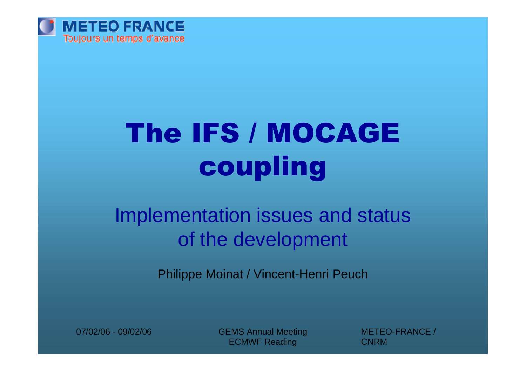

# The IFS / MOCAGE coupling

## Implementation issues and status of the development

Philippe Moinat / Vincent-Henri Peuch

07/02/06 - 09/02/06 CEMS Annual Meeting ECMWF Reading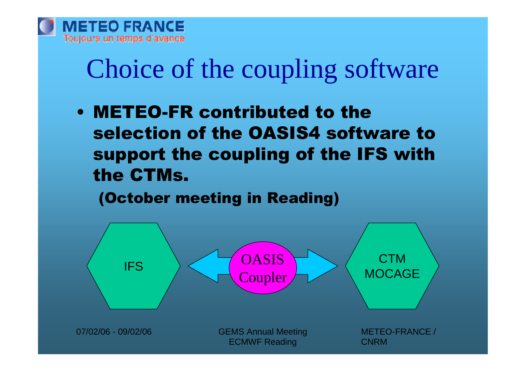

# Choice of the coupling software

•METEO-FR contributed to the selection of the OASIS4 software to support the coupling of the IFS with the CTMs.

(October meeting in Reading)

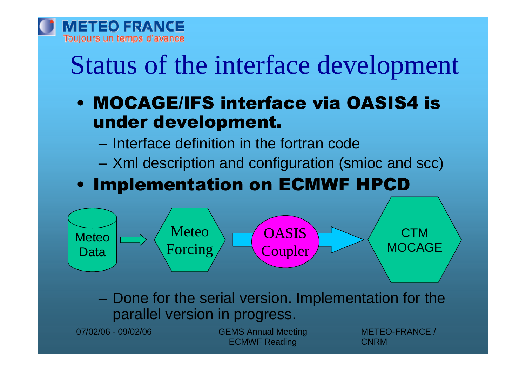

# Status of the interface development

- •MOCAGE/IFS interface via OASIS4 is under development.
	- –Interface definition in the fortran code
	- –Xml description and configuration (smioc and scc)

### •Implementation on ECMWF HPCD



–Done for the serial version. Implementation for the parallel version in progress.

07/02/06 - 09/02/06 CEMS Annual Meeting ECMWF Reading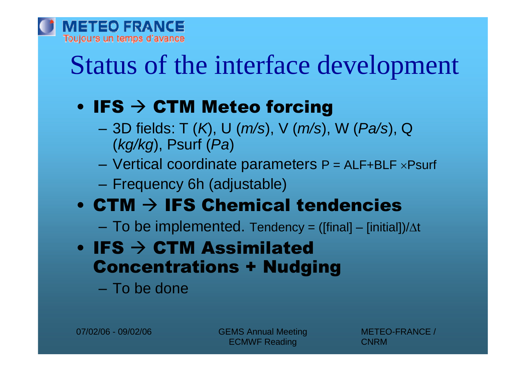

## Status of the interface development

## $\cdot$  IFS  $\rightarrow$  CTM Meteo forcing

- –3D fields: T (*K*), U (*m/s*), V (*m/s*), W (*Pa/s*), Q (*kg/kg*), Psurf (*Pa*)
- $-$  Vertical coordinate parameters  $P = ALF + BLF \times P$ surf
- –Frequency 6h (adjustable)

## $\bullet$  CTM  $\rightarrow$  IFS Chemical tendencies

– To be implemented. Tendency = ([final] – [initial])/ $\Delta t$ 

- $\cdot$  IFS  $\rightarrow$  CTM Assimilated Concentrations + Nudging
	- –To be done

07/02/06 - 09/02/06 CEMS Annual Meeting ECMWF Reading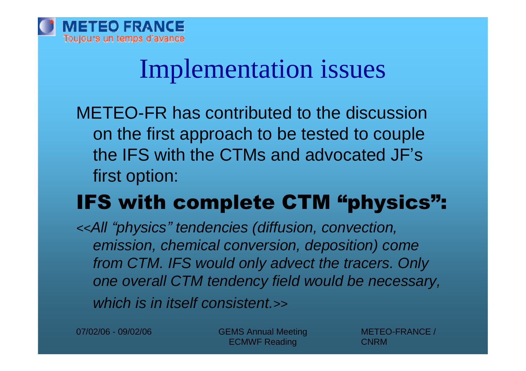## Implementation issues

METEO-FR has contributed to the discussion on the first approach to be tested to couple the IFS with the CTMs and advocated JF's first option:

## IFS with complete CTM "physics":

*<<All "physics"tendencies (diffusion, convection, emission, chemical conversion, deposition) come from CTM. IFS would only advect the tracers. Only one overall CTM tendency field would be necessary, which is in itself consistent.>>*

07/02/06 - 09/02/06 CEMS Annual Meeting ECMWF Reading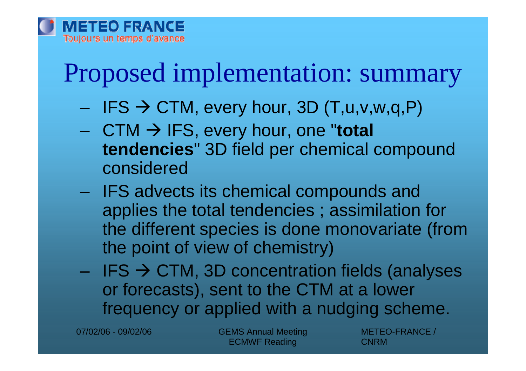# Proposed implementation: summary

- $-$  IFS  $\rightarrow$  CTM, every hour, 3D (T,u,v,w,q,P)
- CTM IFS, every hour, one "**total tendencies**" 3D field per chemical compound considered
- IFS advects its chemical compounds and applies the total tendencies ; assimilation for the different species is done monovariate (from the point of view of chemistry)
- IFS  $\rightarrow$  CTM, 3D concentration fields (analyses or forecasts), sent to the CTM at a lower frequency or applied with a nudging scheme.

07/02/06 - 09/02/06 CEMS Annual Meeting ECMWF Reading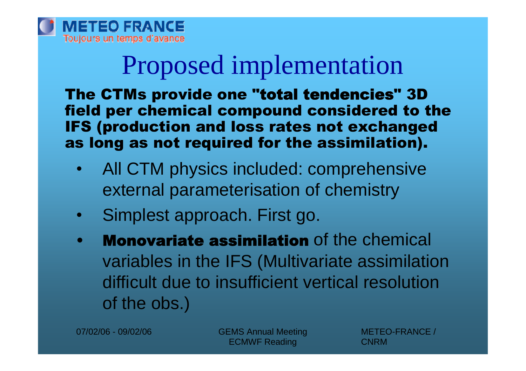

# Proposed implementation

The CTMs provide one "**total tendencies**" 3D field per chemical compound considered to the IFS (production and loss rates not exchanged as long as not required for the assimilation).

- All CTM physics included: comprehensive external parameterisation of chemistry
- Simplest approach. First go.
- **Monovariate assimilation** of the chemical variables in the IFS (Multivariate assimilation difficult due to insufficient vertical resolution of the obs.)

07/02/06 - 09/02/06 CEMS Annual Meeting ECMWF Reading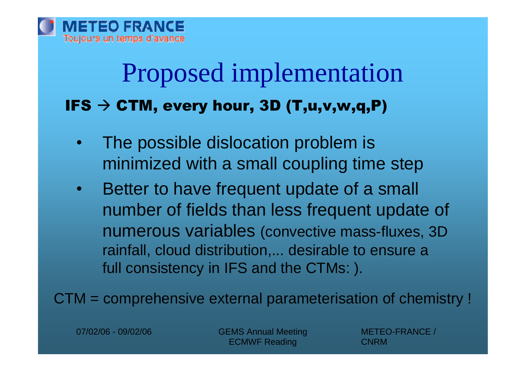## Proposed implementation  $IFS \rightarrow CTM$ , every hour, 3D (T,u,v,w,q,P)

- The possible dislocation problem is minimized with a small coupling time step
- Better to have frequent update of a small number of fields than less frequent update of numerous variables (convective mass-fluxes, 3D rainfall, cloud distribution,... desirable to ensure a full consistency in IFS and the CTMs: ).

CTM = comprehensive external parameterisation of chemistry !

07/02/06 - 09/02/06 CEMS Annual Meeting ECMWF Reading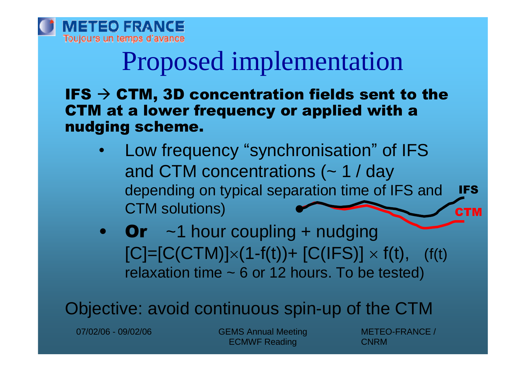

# Proposed implementation

IFS  $\rightarrow$  CTM, 3D concentration fields sent to the CTM at a lower frequency or applied with a nudging scheme.

- Low frequency "synchronisation" of IFS and CTM concentrations (~ 1 / day depending on typical separation time of IFS and CTM solutions) IFS **CTM**
- Or  $\sim$  1 hour coupling + nudging  $[C]=[C(CTM)]\times(1-f(t))+ [C(IFS)]\times f(t), (f(t))$ relaxation time  $\sim$  6 or 12 hours. To be tested)

Objective: avoid continuous spin-up of the CTM

07/02/06 - 09/02/06 CEMS Annual Meeting ECMWF Reading